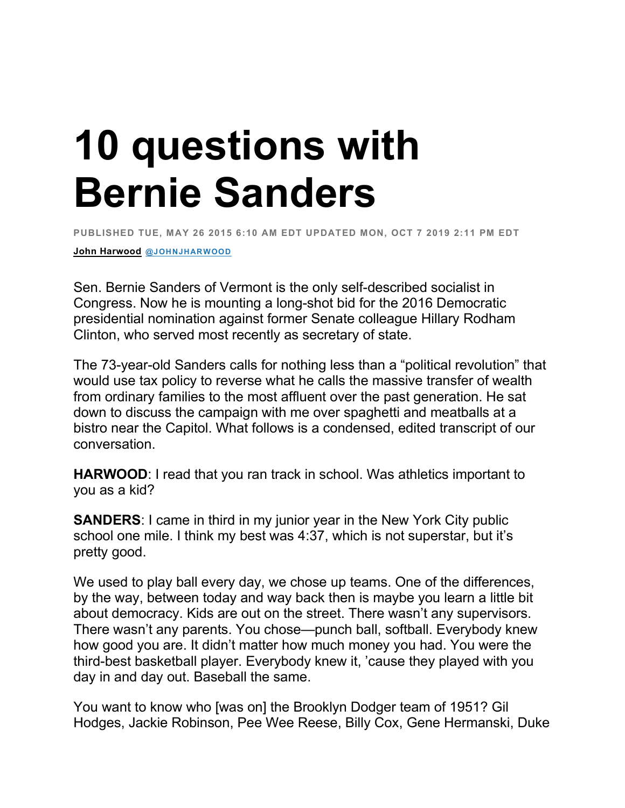## **10 questions with Bernie Sanders**

**PUBLISHED TUE, MAY 26 2015 6:10 AM EDT UPDATED MON, OCT 7 2019 2:11 PM EDT**

**John Harwood @JOHNJHARWOOD**

Sen. Bernie Sanders of Vermont is the only self-described socialist in Congress. Now he is mounting a long-shot bid for the 2016 Democratic presidential nomination against former Senate colleague Hillary Rodham Clinton, who served most recently as secretary of state.

The 73-year-old Sanders calls for nothing less than a "political revolution" that would use tax policy to reverse what he calls the massive transfer of wealth from ordinary families to the most affluent over the past generation. He sat down to discuss the campaign with me over spaghetti and meatballs at a bistro near the Capitol. What follows is a condensed, edited transcript of our conversation.

**HARWOOD**: I read that you ran track in school. Was athletics important to you as a kid?

**SANDERS**: I came in third in my junior year in the New York City public school one mile. I think my best was 4:37, which is not superstar, but it's pretty good.

We used to play ball every day, we chose up teams. One of the differences, by the way, between today and way back then is maybe you learn a little bit about democracy. Kids are out on the street. There wasn't any supervisors. There wasn't any parents. You chose—punch ball, softball. Everybody knew how good you are. It didn't matter how much money you had. You were the third-best basketball player. Everybody knew it, 'cause they played with you day in and day out. Baseball the same.

You want to know who [was on] the Brooklyn Dodger team of 1951? Gil Hodges, Jackie Robinson, Pee Wee Reese, Billy Cox, Gene Hermanski, Duke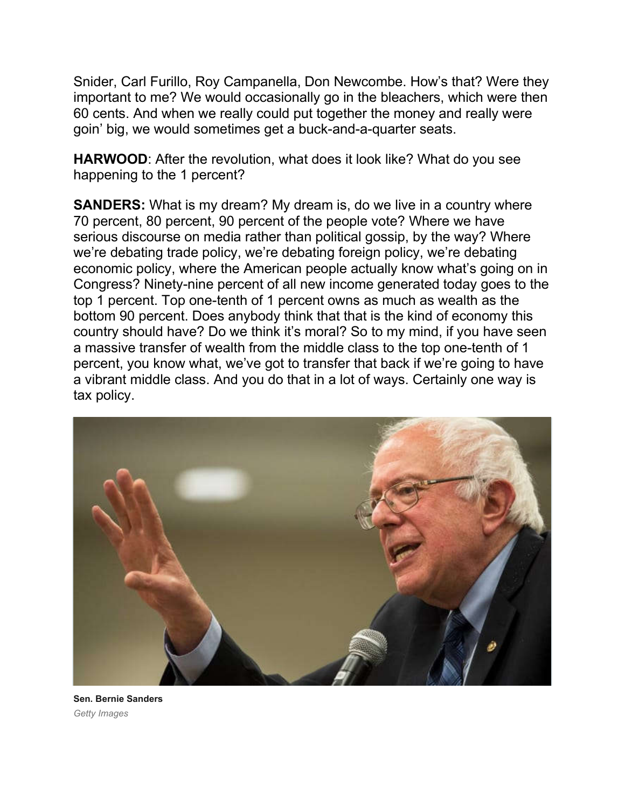Snider, Carl Furillo, Roy Campanella, Don Newcombe. How's that? Were they important to me? We would occasionally go in the bleachers, which were then 60 cents. And when we really could put together the money and really were goin' big, we would sometimes get a buck-and-a-quarter seats.

**HARWOOD**: After the revolution, what does it look like? What do you see happening to the 1 percent?

**SANDERS:** What is my dream? My dream is, do we live in a country where 70 percent, 80 percent, 90 percent of the people vote? Where we have serious discourse on media rather than political gossip, by the way? Where we're debating trade policy, we're debating foreign policy, we're debating economic policy, where the American people actually know what's going on in Congress? Ninety-nine percent of all new income generated today goes to the top 1 percent. Top one-tenth of 1 percent owns as much as wealth as the bottom 90 percent. Does anybody think that that is the kind of economy this country should have? Do we think it's moral? So to my mind, if you have seen a massive transfer of wealth from the middle class to the top one-tenth of 1 percent, you know what, we've got to transfer that back if we're going to have a vibrant middle class. And you do that in a lot of ways. Certainly one way is tax policy.



**Sen. Bernie Sanders** *Getty Images*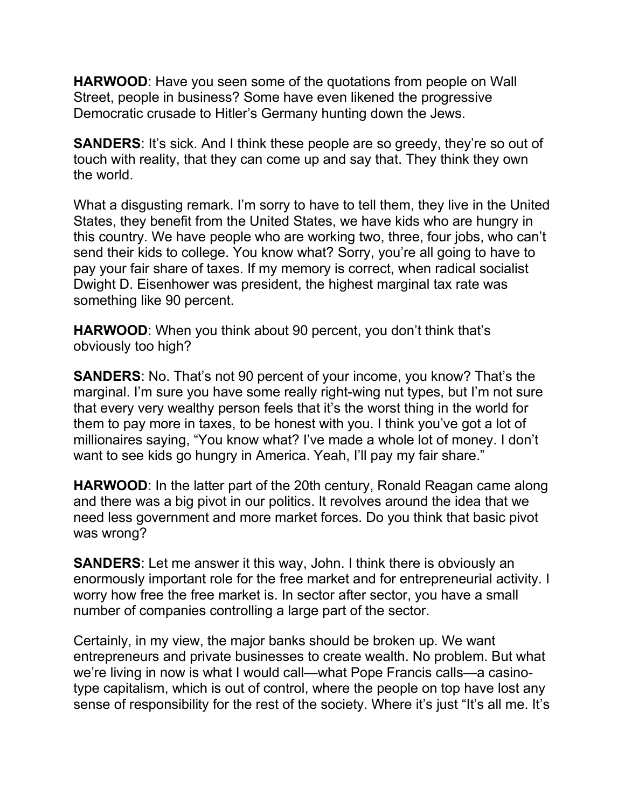**HARWOOD**: Have you seen some of the quotations from people on Wall Street, people in business? Some have even likened the progressive Democratic crusade to Hitler's Germany hunting down the Jews.

**SANDERS:** It's sick. And I think these people are so greedy, they're so out of touch with reality, that they can come up and say that. They think they own the world.

What a disgusting remark. I'm sorry to have to tell them, they live in the United States, they benefit from the United States, we have kids who are hungry in this country. We have people who are working two, three, four jobs, who can't send their kids to college. You know what? Sorry, you're all going to have to pay your fair share of taxes. If my memory is correct, when radical socialist Dwight D. Eisenhower was president, the highest marginal tax rate was something like 90 percent.

**HARWOOD**: When you think about 90 percent, you don't think that's obviously too high?

**SANDERS:** No. That's not 90 percent of your income, you know? That's the marginal. I'm sure you have some really right-wing nut types, but I'm not sure that every very wealthy person feels that it's the worst thing in the world for them to pay more in taxes, to be honest with you. I think you've got a lot of millionaires saying, "You know what? I've made a whole lot of money. I don't want to see kids go hungry in America. Yeah, I'll pay my fair share."

**HARWOOD**: In the latter part of the 20th century, Ronald Reagan came along and there was a big pivot in our politics. It revolves around the idea that we need less government and more market forces. Do you think that basic pivot was wrong?

**SANDERS**: Let me answer it this way, John. I think there is obviously an enormously important role for the free market and for entrepreneurial activity. I worry how free the free market is. In sector after sector, you have a small number of companies controlling a large part of the sector.

Certainly, in my view, the major banks should be broken up. We want entrepreneurs and private businesses to create wealth. No problem. But what we're living in now is what I would call—what Pope Francis calls—a casinotype capitalism, which is out of control, where the people on top have lost any sense of responsibility for the rest of the society. Where it's just "It's all me. It's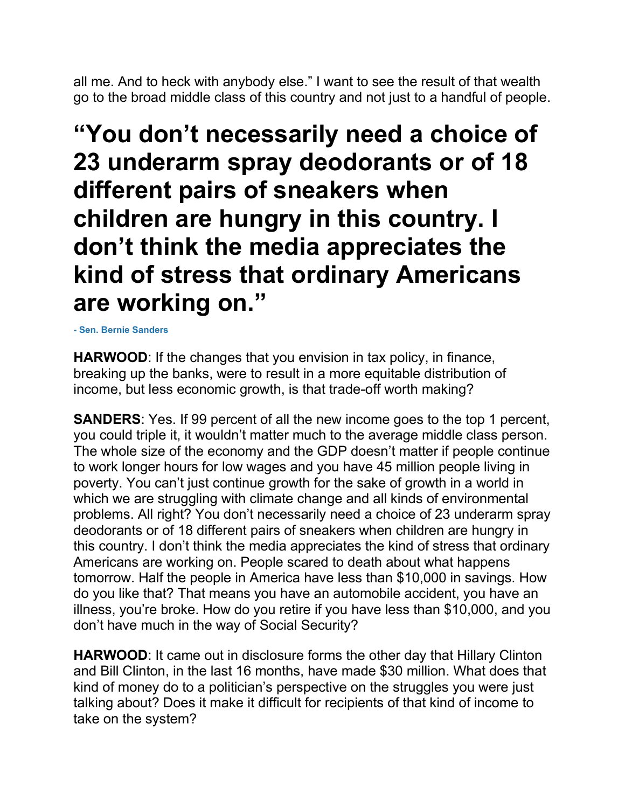all me. And to heck with anybody else." I want to see the result of that wealth go to the broad middle class of this country and not just to a handful of people.

## **"You don't necessarily need a choice of 23 underarm spray deodorants or of 18 different pairs of sneakers when children are hungry in this country. I don't think the media appreciates the kind of stress that ordinary Americans are working on."**

**- Sen. Bernie Sanders**

**HARWOOD**: If the changes that you envision in tax policy, in finance, breaking up the banks, were to result in a more equitable distribution of income, but less economic growth, is that trade-off worth making?

**SANDERS:** Yes. If 99 percent of all the new income goes to the top 1 percent, you could triple it, it wouldn't matter much to the average middle class person. The whole size of the economy and the GDP doesn't matter if people continue to work longer hours for low wages and you have 45 million people living in poverty. You can't just continue growth for the sake of growth in a world in which we are struggling with climate change and all kinds of environmental problems. All right? You don't necessarily need a choice of 23 underarm spray deodorants or of 18 different pairs of sneakers when children are hungry in this country. I don't think the media appreciates the kind of stress that ordinary Americans are working on. People scared to death about what happens tomorrow. Half the people in America have less than \$10,000 in savings. How do you like that? That means you have an automobile accident, you have an illness, you're broke. How do you retire if you have less than \$10,000, and you don't have much in the way of Social Security?

**HARWOOD**: It came out in disclosure forms the other day that Hillary Clinton and Bill Clinton, in the last 16 months, have made \$30 million. What does that kind of money do to a politician's perspective on the struggles you were just talking about? Does it make it difficult for recipients of that kind of income to take on the system?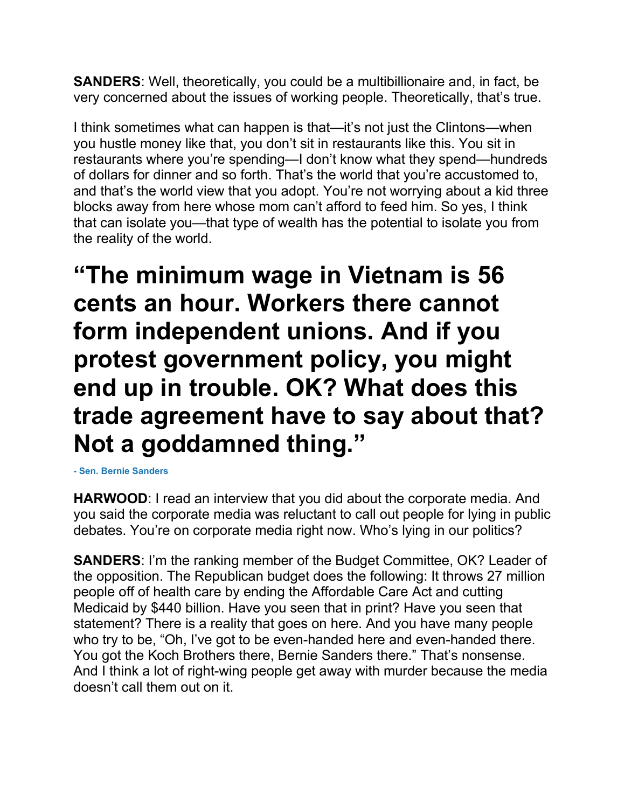**SANDERS**: Well, theoretically, you could be a multibillionaire and, in fact, be very concerned about the issues of working people. Theoretically, that's true.

I think sometimes what can happen is that—it's not just the Clintons—when you hustle money like that, you don't sit in restaurants like this. You sit in restaurants where you're spending—I don't know what they spend—hundreds of dollars for dinner and so forth. That's the world that you're accustomed to, and that's the world view that you adopt. You're not worrying about a kid three blocks away from here whose mom can't afford to feed him. So yes, I think that can isolate you—that type of wealth has the potential to isolate you from the reality of the world.

**"The minimum wage in Vietnam is 56 cents an hour. Workers there cannot form independent unions. And if you protest government policy, you might end up in trouble. OK? What does this trade agreement have to say about that? Not a goddamned thing."**

**- Sen. Bernie Sanders**

**HARWOOD**: I read an interview that you did about the corporate media. And you said the corporate media was reluctant to call out people for lying in public debates. You're on corporate media right now. Who's lying in our politics?

**SANDERS**: I'm the ranking member of the Budget Committee, OK? Leader of the opposition. The Republican budget does the following: It throws 27 million people off of health care by ending the Affordable Care Act and cutting Medicaid by \$440 billion. Have you seen that in print? Have you seen that statement? There is a reality that goes on here. And you have many people who try to be, "Oh, I've got to be even-handed here and even-handed there. You got the Koch Brothers there, Bernie Sanders there." That's nonsense. And I think a lot of right-wing people get away with murder because the media doesn't call them out on it.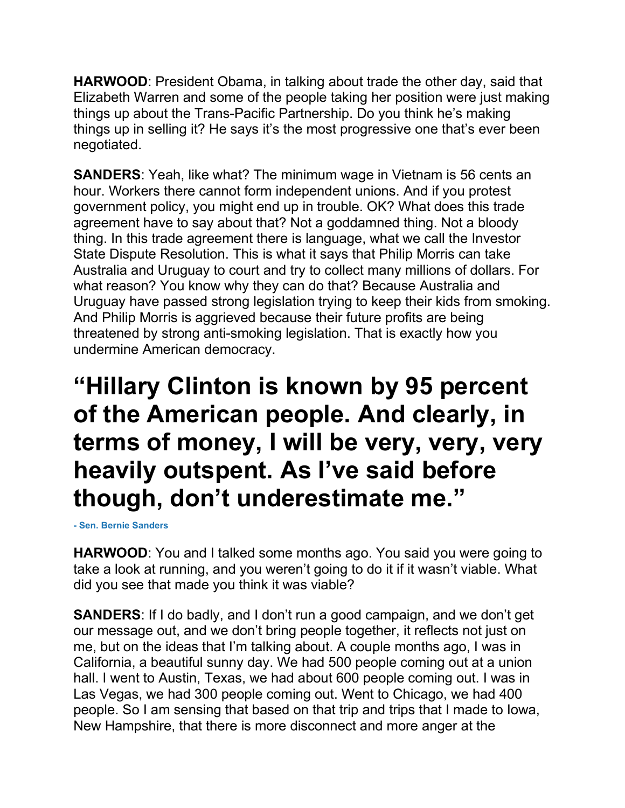**HARWOOD**: President Obama, in talking about trade the other day, said that Elizabeth Warren and some of the people taking her position were just making things up about the Trans-Pacific Partnership. Do you think he's making things up in selling it? He says it's the most progressive one that's ever been negotiated.

**SANDERS**: Yeah, like what? The minimum wage in Vietnam is 56 cents an hour. Workers there cannot form independent unions. And if you protest government policy, you might end up in trouble. OK? What does this trade agreement have to say about that? Not a goddamned thing. Not a bloody thing. In this trade agreement there is language, what we call the Investor State Dispute Resolution. This is what it says that Philip Morris can take Australia and Uruguay to court and try to collect many millions of dollars. For what reason? You know why they can do that? Because Australia and Uruguay have passed strong legislation trying to keep their kids from smoking. And Philip Morris is aggrieved because their future profits are being threatened by strong anti-smoking legislation. That is exactly how you undermine American democracy.

## **"Hillary Clinton is known by 95 percent of the American people. And clearly, in terms of money, I will be very, very, very heavily outspent. As I've said before though, don't underestimate me."**

**- Sen. Bernie Sanders**

**HARWOOD**: You and I talked some months ago. You said you were going to take a look at running, and you weren't going to do it if it wasn't viable. What did you see that made you think it was viable?

**SANDERS**: If I do badly, and I don't run a good campaign, and we don't get our message out, and we don't bring people together, it reflects not just on me, but on the ideas that I'm talking about. A couple months ago, I was in California, a beautiful sunny day. We had 500 people coming out at a union hall. I went to Austin, Texas, we had about 600 people coming out. I was in Las Vegas, we had 300 people coming out. Went to Chicago, we had 400 people. So I am sensing that based on that trip and trips that I made to Iowa, New Hampshire, that there is more disconnect and more anger at the